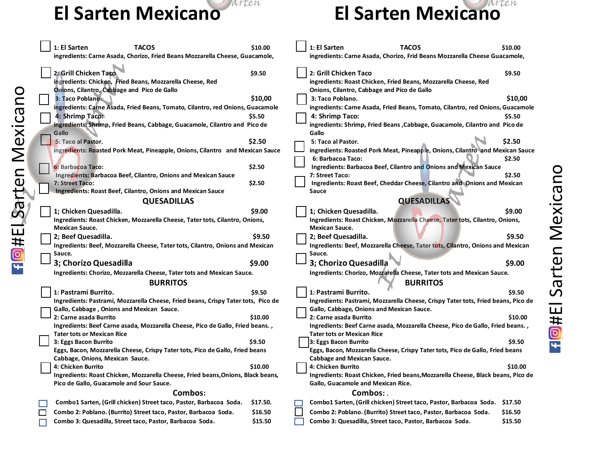**Fight El Sarten Mexicano** 



|         |  | 1: El Sarten<br><b>TACOS</b><br>ingredients: Carne Asada, Chorizo, Fried Beans Mozzarella Cheese, Guacamole,                      | \$10.00  |  | 1: El Sarten                                                                                                                   | <b>TACOS</b><br>ingredients: Carne Asada, Chorizo, Frid Beans Mozzarella Cheese Guacamole,                     | \$10.00 |  |
|---------|--|-----------------------------------------------------------------------------------------------------------------------------------|----------|--|--------------------------------------------------------------------------------------------------------------------------------|----------------------------------------------------------------------------------------------------------------|---------|--|
|         |  | 2: Grill Chicken Taco<br>ingredients: Chicken, Fried Beans, Mozzarella Cheese, Red<br>Onions, Cilantro, Cabbage and Pico de Gallo | \$9.50   |  | 2: Grill Chicken Taco                                                                                                          | ingredients: Roast Chicken, Fried Beans, Mozzarella Cheese, Red<br>Onions, Cilantro, Cabbage and Pico de Gallo | \$9.50  |  |
|         |  | 3: Taco Poblano.                                                                                                                  | \$10,00  |  | 3: Taco Poblano.                                                                                                               |                                                                                                                | \$10,00 |  |
|         |  | ingredients: Carne Asada, Fried Beans, Tomato, Cilantro, red Onions, Guacamole<br>4: Shrimp Taco:                                 | \$5.50   |  | 4: Shrimp Taco:                                                                                                                | ingredients: Carne Asada, Fried Beans, Tomato, Cilantro, red Onions, Guacamole                                 | \$5.50  |  |
| Mexican |  | ingredients: Shrimp, Fried Beans, Cabbage, Guacamole, Cilantro and Pico de<br>Gallo                                               |          |  | Gallo                                                                                                                          | ingredients: Shrimp, Fried Beans, Cabbage, Guacamole, Cilantro and Pico de                                     |         |  |
|         |  | 5: Taco al Pastor.                                                                                                                | \$2.50   |  | 5: Taco al Pastor.                                                                                                             |                                                                                                                | \$2.50  |  |
|         |  | ingredients: Roasted Pork Meat, Pineapple, Onions, Cilantro and Mexican Sauce                                                     |          |  |                                                                                                                                | ingredients: Roasted Pork Meat, Pineapple, Onions, Cilantro and Mexican Sauce                                  |         |  |
|         |  |                                                                                                                                   |          |  | 6: Barbacoa Taco:                                                                                                              |                                                                                                                | \$2.50  |  |
|         |  | 6: Barbacoa Taco:                                                                                                                 | \$2.50   |  |                                                                                                                                | <b>Ingredients: Barbacoa Beef, Cilantro and Onions and Mexican Sauce</b>                                       |         |  |
|         |  | Ingredients: Barbacoa Beef, Cilantro, Onions and Mexican Sauce                                                                    |          |  | 7: Street Taco:                                                                                                                |                                                                                                                | \$2.50  |  |
|         |  | 7: Street Taco:<br><b>Ingredients: Roast Beef, Cilantro, Onions and Mexican Sauce</b>                                             | \$2.50   |  | Sauce                                                                                                                          | Ingredients: Roast Beef, Cheddar Cheese, Cilantro and Onions and Mexican                                       |         |  |
| Sarten  |  | <b>QUESADILLAS</b>                                                                                                                |          |  | <b>QUESADILLAS</b>                                                                                                             |                                                                                                                |         |  |
|         |  | 1; Chicken Quesadilla.                                                                                                            | \$9.00   |  | 1; Chicken Quesadilla.                                                                                                         |                                                                                                                | \$9.00  |  |
|         |  | Ingredients: Roast Chicken, Mozzarella Cheese, Tater tots, Cilantro, Onions,                                                      |          |  | Ingredients: Roast Chicken, Mozzarella Cheese, Tater tots, Cilantro, Onions,                                                   |                                                                                                                |         |  |
|         |  | <b>Mexican Sauce.</b>                                                                                                             |          |  | <b>Mexican Sauce.</b>                                                                                                          |                                                                                                                |         |  |
|         |  | 2; Beef Quesadilla.                                                                                                               | \$9.50   |  | 2; Beef Quesadilla.                                                                                                            |                                                                                                                | \$9.50  |  |
|         |  | Ingredients: Beef, Mozzarella Cheese, Tater tots, Cilantro, Onions and Mexican                                                    |          |  |                                                                                                                                | Ingredients: Beef, Mozzarella Cheese, Tater tots, Cilantro, Onions and Mexican                                 |         |  |
|         |  | Sauce.                                                                                                                            |          |  | Sauce.                                                                                                                         |                                                                                                                |         |  |
| FIOHE!  |  | 3; Chorizo Quesadilla                                                                                                             | \$9.00   |  | 3; Chorizo Quesadilla                                                                                                          |                                                                                                                | \$9.00  |  |
|         |  | Ingredients: Chorizo, Mozzarella Cheese, Tater tots and Mexican Sauce.<br><b>BURRITOS</b>                                         |          |  | Ingredients: Chorizo, Mozzarella Cheese, Tater tots and Mexican Sauce.<br><b>BURRITOS</b>                                      |                                                                                                                |         |  |
|         |  |                                                                                                                                   |          |  |                                                                                                                                |                                                                                                                |         |  |
|         |  | 1: Pastrami Burrito.                                                                                                              | \$9.50   |  | 1: Pastrami Burrito.                                                                                                           |                                                                                                                | \$9.50  |  |
|         |  | Ingredients: Pastrami, Mozzarella Cheese, Fried beans, Crispy Tater tots, Pico de                                                 |          |  | Ingredients: Pastrami, Mozzarella Cheese, Crispy Tater tots, Fried beans, Pico de<br>Gallo, Cabbage, Onions and Mexican Sauce. |                                                                                                                |         |  |
|         |  | Gallo, Cabbage, Onions and Mexican Sauce.<br>2: Carne asada Burrito                                                               | \$10.00  |  | 2: Carne asada Burrito                                                                                                         |                                                                                                                | \$10.00 |  |
|         |  | Ingredients: Beef Carne asada, Mozzarella Cheese, Pico de Gallo, Fried beans.,                                                    |          |  |                                                                                                                                | Ingredients: Beef Carne asada, Mozzarella Cheese, Pico de Gallo, Fried beans. ,                                |         |  |
|         |  | <b>Tater tots or Mexican Rice</b>                                                                                                 |          |  | Tater tots or Mexican Rice                                                                                                     |                                                                                                                |         |  |
|         |  | 3: Eggs Bacon Burrito                                                                                                             | \$9.50   |  | 3: Eggs Bacon Burrito                                                                                                          |                                                                                                                | \$9.50  |  |
|         |  | Eggs, Bacon, Mozzarella Cheese, Crispy Tater tots, Pico de Gallo, Fried beans                                                     |          |  |                                                                                                                                | Eggs, Bacon, Mozzarella Cheese, Crispy Tater tots, Pico de Gallo, Fried beans                                  |         |  |
|         |  | Cabbage, Onions, Mexican Sauce.                                                                                                   |          |  | <b>Cabbage and Mexican Sauce.</b>                                                                                              |                                                                                                                |         |  |
|         |  | 4: Chicken Burrito                                                                                                                | \$10.00  |  | 4: Chicken Burrito                                                                                                             |                                                                                                                | \$10.00 |  |
|         |  | Ingredients: Roast Chicken, Mozzarella Cheese, Fried beans, Onions, Black beans,                                                  |          |  |                                                                                                                                | Ingredients: Roast Chicken, Fried beans, Mozzarella Cheese, Black beans, Pico de                               |         |  |
|         |  | Pico de Gallo, Guacamole and Sour Sauce.                                                                                          |          |  | Gallo, Guacamole and Mexican Rice.                                                                                             |                                                                                                                |         |  |
|         |  | Combos:                                                                                                                           |          |  |                                                                                                                                | Combos: .                                                                                                      |         |  |
|         |  | Combo1 Sarten, (Grill chicken) Street taco, Pastor, Barbacoa Soda.                                                                | \$17.50. |  |                                                                                                                                | Combo1 Sarten, (Grill chicken) Street taco, Pastor, Barbacoa Soda.                                             | \$17.50 |  |
|         |  | Combo 2: Poblano. (Burrito) Street taco, Pastor, Barbacoa Soda.                                                                   | \$16.50  |  |                                                                                                                                | Combo 2: Poblano. (Burrito) Street taco, Pastor, Barbacoa Soda.                                                | \$16.50 |  |
|         |  | Combo 3: Quesadilla, Street taco, Pastor, Barbacoa Soda.                                                                          | \$15.50  |  |                                                                                                                                | Combo 3: Quesadilla, Street taco, Pastor, Barbacoa Soda.                                                       | \$15.50 |  |